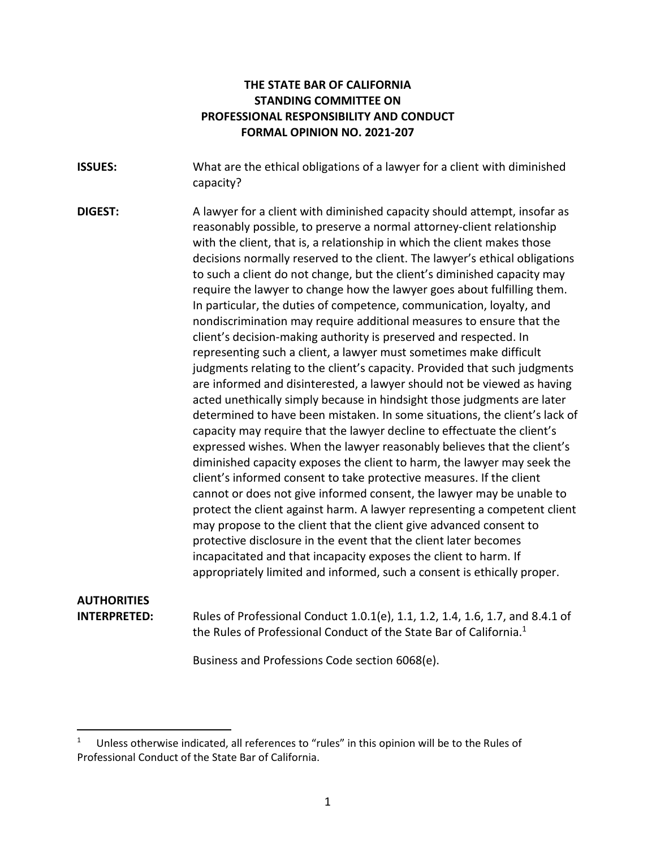#### **THE STATE BAR OF CALIFORNIA STANDING COMMITTEE ON PROFESSIONAL RESPONSIBILITY AND CONDUCT FORMAL OPINION NO. 2021-207**

**ISSUES:** What are the ethical obligations of a lawyer for a client with diminished capacity?

**DIGEST:** A lawyer for a client with diminished capacity should attempt, insofar as reasonably possible, to preserve a normal attorney-client relationship with the client, that is, a relationship in which the client makes those decisions normally reserved to the client. The lawyer's ethical obligations to such a client do not change, but the client's diminished capacity may require the lawyer to change how the lawyer goes about fulfilling them. In particular, the duties of competence, communication, loyalty, and nondiscrimination may require additional measures to ensure that the client's decision-making authority is preserved and respected. In representing such a client, a lawyer must sometimes make difficult judgments relating to the client's capacity. Provided that such judgments are informed and disinterested, a lawyer should not be viewed as having acted unethically simply because in hindsight those judgments are later determined to have been mistaken. In some situations, the client's lack of capacity may require that the lawyer decline to effectuate the client's expressed wishes. When the lawyer reasonably believes that the client's diminished capacity exposes the client to harm, the lawyer may seek the client's informed consent to take protective measures. If the client cannot or does not give informed consent, the lawyer may be unable to protect the client against harm. A lawyer representing a competent client may propose to the client that the client give advanced consent to protective disclosure in the event that the client later becomes incapacitated and that incapacity exposes the client to harm. If appropriately limited and informed, such a consent is ethically proper.

# **AUTHORITIES**

**INTERPRETED:** Rules of Professional Conduct 1.0.1(e), 1.1, 1.2, 1.4, 1.6, 1.7, and 8.4.1 of the Rules of Professional Conduct of the State Bar of California.<sup>[1](#page-0-0)</sup>

Business and Professions Code section 6068(e).

<span id="page-0-0"></span>Unless otherwise indicated, all references to "rules" in this opinion will be to the Rules of Professional Conduct of the State Bar of California.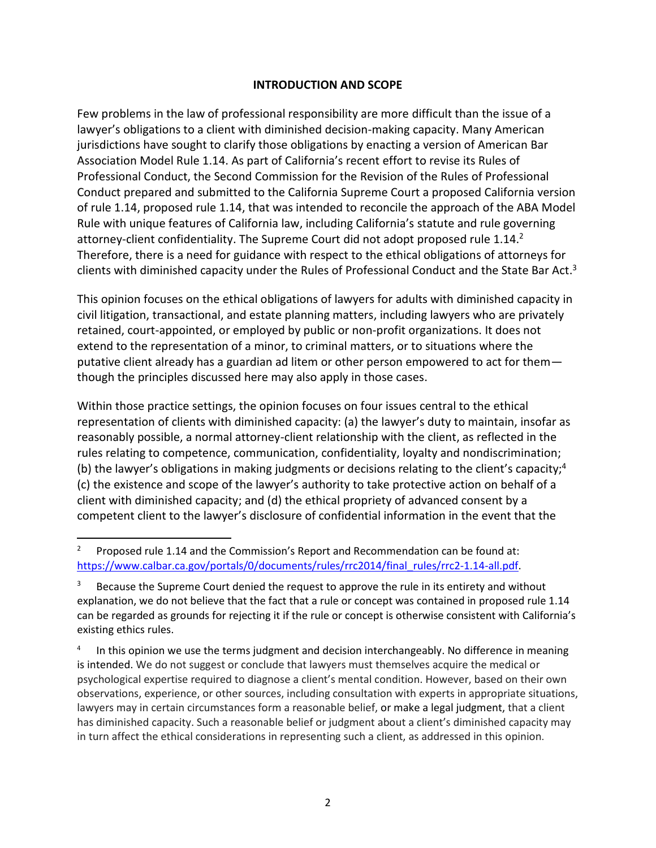#### **INTRODUCTION AND SCOPE**

Few problems in the law of professional responsibility are more difficult than the issue of a lawyer's obligations to a client with diminished decision-making capacity. Many American jurisdictions have sought to clarify those obligations by enacting a version of American Bar Association Model Rule 1.14. As part of California's recent effort to revise its Rules of Professional Conduct, the Second Commission for the Revision of the Rules of Professional Conduct prepared and submitted to the California Supreme Court a proposed California version of rule 1.14, proposed rule 1.14, that was intended to reconcile the approach of the ABA Model Rule with unique features of California law, including California's statute and rule governing attorney-client confidentiality. The Supreme Court did not adopt proposed rule  $1.14$ .<sup>[2](#page-1-0)</sup> Therefore, there is a need for guidance with respect to the ethical obligations of attorneys for clients with diminished capacity under the Rules of Professional Conduct and the State Bar Act.<sup>[3](#page-1-1)</sup>

This opinion focuses on the ethical obligations of lawyers for adults with diminished capacity in civil litigation, transactional, and estate planning matters, including lawyers who are privately retained, court-appointed, or employed by public or non-profit organizations. It does not extend to the representation of a minor, to criminal matters, or to situations where the putative client already has a guardian ad litem or other person empowered to act for them though the principles discussed here may also apply in those cases.

Within those practice settings, the opinion focuses on four issues central to the ethical representation of clients with diminished capacity: (a) the lawyer's duty to maintain, insofar as reasonably possible, a normal attorney-client relationship with the client, as reflected in the rules relating to competence, communication, confidentiality, loyalty and nondiscrimination; (b) the lawyer's obligations in making judgments or decisions relating to the client's capacity;<sup>[4](#page-1-2)</sup> (c) the existence and scope of the lawyer's authority to take protective action on behalf of a client with diminished capacity; and (d) the ethical propriety of advanced consent by a competent client to the lawyer's disclosure of confidential information in the event that the

<span id="page-1-2"></span>4 In this opinion we use the terms judgment and decision interchangeably. No difference in meaning is intended. We do not suggest or conclude that lawyers must themselves acquire the medical or psychological expertise required to diagnose a client's mental condition. However, based on their own observations, experience, or other sources, including consultation with experts in appropriate situations, lawyers may in certain circumstances form a reasonable belief, or make a legal judgment, that a client has diminished capacity. Such a reasonable belief or judgment about a client's diminished capacity may in turn affect the ethical considerations in representing such a client, as addressed in this opinion.

<span id="page-1-0"></span><sup>&</sup>lt;sup>2</sup> Proposed rule 1.14 and the Commission's Report and Recommendation can be found at: [https://www.calbar.ca.gov/portals/0/documents/rules/rrc2014/final\\_rules/rrc2-1.14-all.pdf.](https://www.calbar.ca.gov/portals/0/documents/rules/rrc2014/final_rules/rrc2-1.14-all.pdf)

<span id="page-1-1"></span> $3$  Because the Supreme Court denied the request to approve the rule in its entirety and without explanation, we do not believe that the fact that a rule or concept was contained in proposed rule 1.14 can be regarded as grounds for rejecting it if the rule or concept is otherwise consistent with California's existing ethics rules.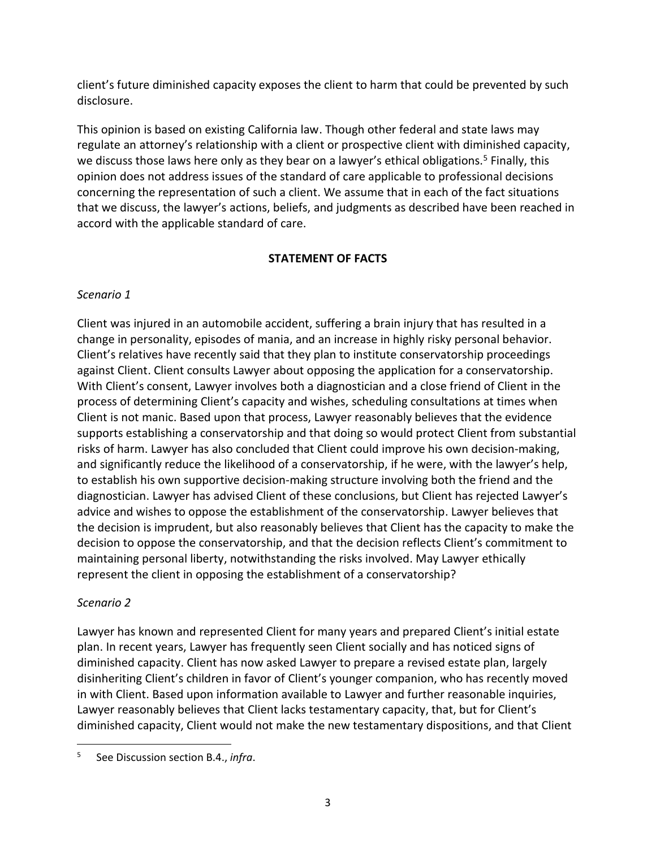client's future diminished capacity exposes the client to harm that could be prevented by such disclosure.

This opinion is based on existing California law. Though other federal and state laws may regulate an attorney's relationship with a client or prospective client with diminished capacity, we discuss those laws here only as they bear on a lawyer's ethical obligations.<sup>[5](#page-2-0)</sup> Finally, this opinion does not address issues of the standard of care applicable to professional decisions concerning the representation of such a client. We assume that in each of the fact situations that we discuss, the lawyer's actions, beliefs, and judgments as described have been reached in accord with the applicable standard of care.

# **STATEMENT OF FACTS**

# *Scenario 1*

Client was injured in an automobile accident, suffering a brain injury that has resulted in a change in personality, episodes of mania, and an increase in highly risky personal behavior. Client's relatives have recently said that they plan to institute conservatorship proceedings against Client. Client consults Lawyer about opposing the application for a conservatorship. With Client's consent, Lawyer involves both a diagnostician and a close friend of Client in the process of determining Client's capacity and wishes, scheduling consultations at times when Client is not manic. Based upon that process, Lawyer reasonably believes that the evidence supports establishing a conservatorship and that doing so would protect Client from substantial risks of harm. Lawyer has also concluded that Client could improve his own decision-making, and significantly reduce the likelihood of a conservatorship, if he were, with the lawyer's help, to establish his own supportive decision-making structure involving both the friend and the diagnostician. Lawyer has advised Client of these conclusions, but Client has rejected Lawyer's advice and wishes to oppose the establishment of the conservatorship. Lawyer believes that the decision is imprudent, but also reasonably believes that Client has the capacity to make the decision to oppose the conservatorship, and that the decision reflects Client's commitment to maintaining personal liberty, notwithstanding the risks involved. May Lawyer ethically represent the client in opposing the establishment of a conservatorship?

# *Scenario 2*

Lawyer has known and represented Client for many years and prepared Client's initial estate plan. In recent years, Lawyer has frequently seen Client socially and has noticed signs of diminished capacity. Client has now asked Lawyer to prepare a revised estate plan, largely disinheriting Client's children in favor of Client's younger companion, who has recently moved in with Client. Based upon information available to Lawyer and further reasonable inquiries, Lawyer reasonably believes that Client lacks testamentary capacity, that, but for Client's diminished capacity, Client would not make the new testamentary dispositions, and that Client

<span id="page-2-0"></span><sup>5</sup> See Discussion section B.4., *infra*.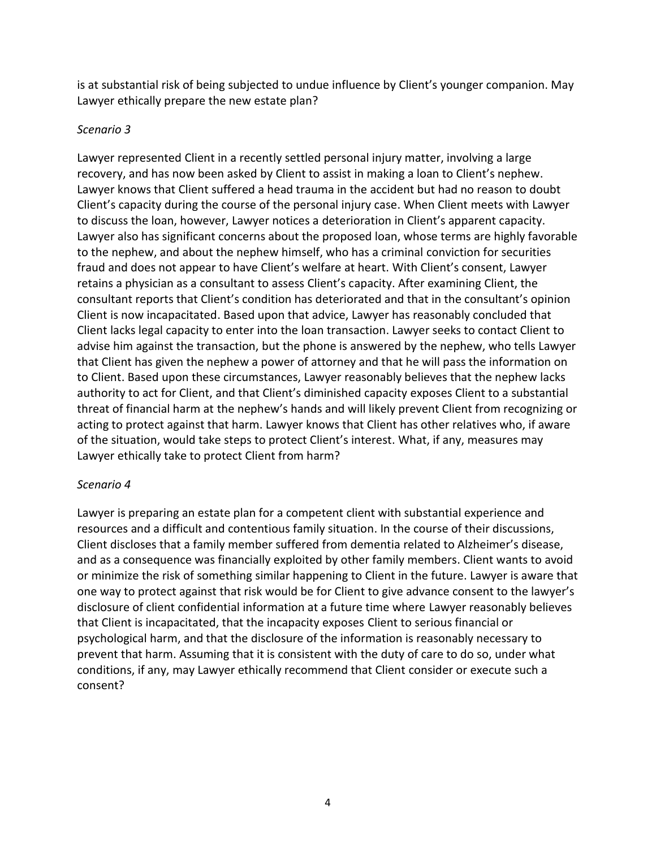is at substantial risk of being subjected to undue influence by Client's younger companion. May Lawyer ethically prepare the new estate plan?

#### *Scenario 3*

Lawyer represented Client in a recently settled personal injury matter, involving a large recovery, and has now been asked by Client to assist in making a loan to Client's nephew. Lawyer knows that Client suffered a head trauma in the accident but had no reason to doubt Client's capacity during the course of the personal injury case. When Client meets with Lawyer to discuss the loan, however, Lawyer notices a deterioration in Client's apparent capacity. Lawyer also has significant concerns about the proposed loan, whose terms are highly favorable to the nephew, and about the nephew himself, who has a criminal conviction for securities fraud and does not appear to have Client's welfare at heart. With Client's consent, Lawyer retains a physician as a consultant to assess Client's capacity. After examining Client, the consultant reports that Client's condition has deteriorated and that in the consultant's opinion Client is now incapacitated. Based upon that advice, Lawyer has reasonably concluded that Client lacks legal capacity to enter into the loan transaction. Lawyer seeks to contact Client to advise him against the transaction, but the phone is answered by the nephew, who tells Lawyer that Client has given the nephew a power of attorney and that he will pass the information on to Client. Based upon these circumstances, Lawyer reasonably believes that the nephew lacks authority to act for Client, and that Client's diminished capacity exposes Client to a substantial threat of financial harm at the nephew's hands and will likely prevent Client from recognizing or acting to protect against that harm. Lawyer knows that Client has other relatives who, if aware of the situation, would take steps to protect Client's interest. What, if any, measures may Lawyer ethically take to protect Client from harm?

#### *Scenario 4*

Lawyer is preparing an estate plan for a competent client with substantial experience and resources and a difficult and contentious family situation. In the course of their discussions, Client discloses that a family member suffered from dementia related to Alzheimer's disease, and as a consequence was financially exploited by other family members. Client wants to avoid or minimize the risk of something similar happening to Client in the future. Lawyer is aware that one way to protect against that risk would be for Client to give advance consent to the lawyer's disclosure of client confidential information at a future time where Lawyer reasonably believes that Client is incapacitated, that the incapacity exposes Client to serious financial or psychological harm, and that the disclosure of the information is reasonably necessary to prevent that harm. Assuming that it is consistent with the duty of care to do so, under what conditions, if any, may Lawyer ethically recommend that Client consider or execute such a consent?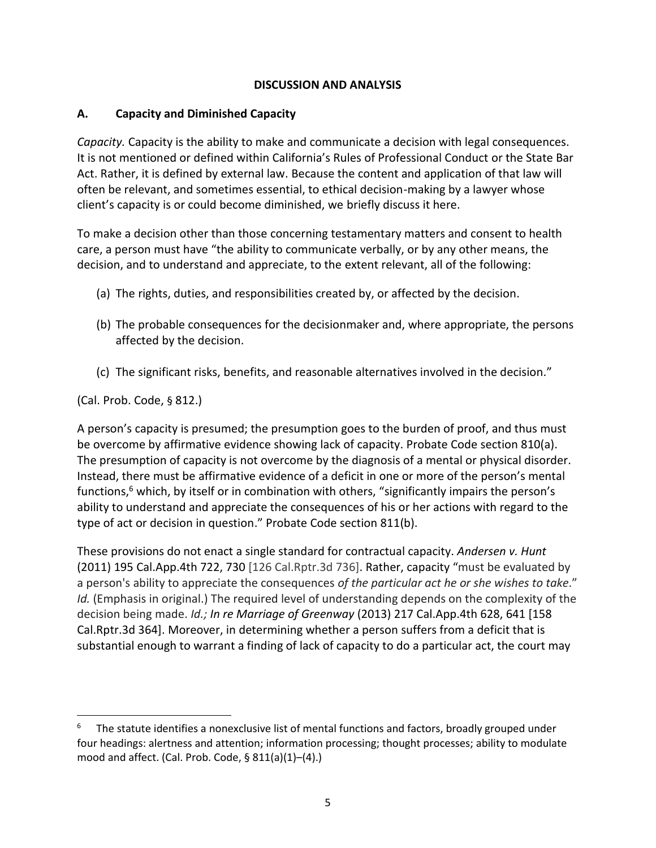#### **DISCUSSION AND ANALYSIS**

#### **A. Capacity and Diminished Capacity**

*Capacity.* Capacity is the ability to make and communicate a decision with legal consequences. It is not mentioned or defined within California's Rules of Professional Conduct or the State Bar Act. Rather, it is defined by external law. Because the content and application of that law will often be relevant, and sometimes essential, to ethical decision-making by a lawyer whose client's capacity is or could become diminished, we briefly discuss it here.

To make a decision other than those concerning testamentary matters and consent to health care, a person must have "the ability to communicate verbally, or by any other means, the decision, and to understand and appreciate, to the extent relevant, all of the following:

- (a) The rights, duties, and responsibilities created by, or affected by the decision.
- (b) The probable consequences for the decisionmaker and, where appropriate, the persons affected by the decision.
- (c) The significant risks, benefits, and reasonable alternatives involved in the decision."

(Cal. Prob. Code, § 812.)

A person's capacity is presumed; the presumption goes to the burden of proof, and thus must be overcome by affirmative evidence showing lack of capacity. Probate Code section 810(a). The presumption of capacity is not overcome by the diagnosis of a mental or physical disorder. Instead, there must be affirmative evidence of a deficit in one or more of the person's mental functions, $6$  which, by itself or in combination with others, "significantly impairs the person's ability to understand and appreciate the consequences of his or her actions with regard to the type of act or decision in question." Probate Code section 811(b).

These provisions do not enact a single standard for contractual capacity. *Andersen v. Hunt* (2011) 195 Cal.App.4th 722, 730 [126 Cal.Rptr.3d 736]. Rather, capacity "must be evaluated by a person's ability to appreciate the consequences *of the particular act he or she wishes to take*." *Id.* (Emphasis in original.) The required level of understanding depends on the complexity of the decision being made. *Id.; In re Marriage of Greenway* (2013) 217 Cal.App.4th 628, 641 [158 Cal.Rptr.3d 364]. Moreover, in determining whether a person suffers from a deficit that is substantial enough to warrant a finding of lack of capacity to do a particular act, the court may

<span id="page-4-0"></span>The statute identifies a nonexclusive list of mental functions and factors, broadly grouped under four headings: alertness and attention; information processing; thought processes; ability to modulate mood and affect. (Cal. Prob. Code, § 811(a)(1)–(4).)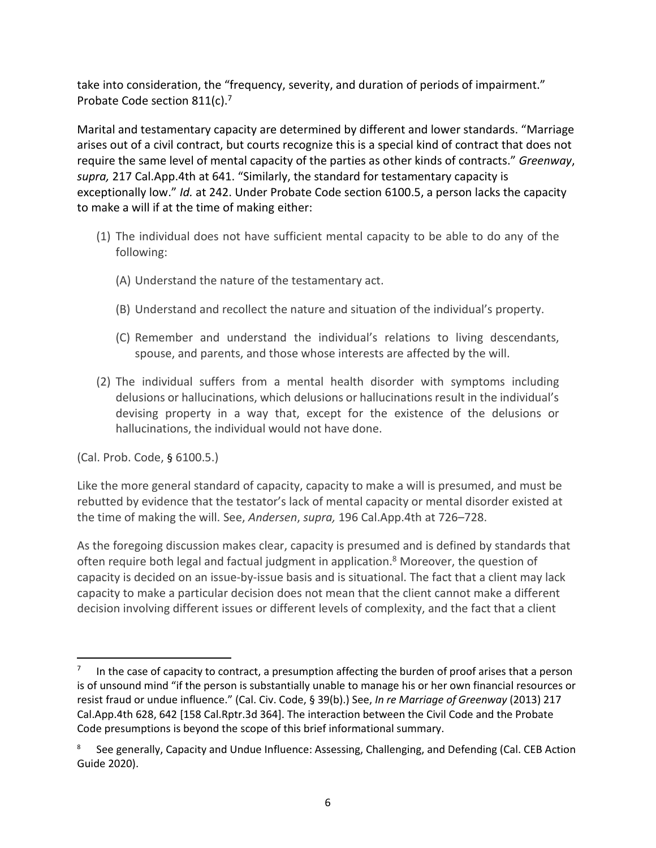take into consideration, the "frequency, severity, and duration of periods of impairment." Probate Code section 811(c).[7](#page-5-0)

Marital and testamentary capacity are determined by different and lower standards. "Marriage arises out of a civil contract, but courts recognize this is a special kind of contract that does not require the same level of mental capacity of the parties as other kinds of contracts." *Greenway*, *supra,* 217 Cal.App.4th at 641. "Similarly, the standard for testamentary capacity is exceptionally low." *Id.* at 242. Under Probate Code section 6100.5, a person lacks the capacity to make a will if at the time of making either:

- (1) The individual does not have sufficient mental capacity to be able to do any of the following:
	- (A) Understand the nature of the testamentary act.
	- (B) Understand and recollect the nature and situation of the individual's property.
	- (C) Remember and understand the individual's relations to living descendants, spouse, and parents, and those whose interests are affected by the will.
- (2) The individual suffers from a mental health disorder with symptoms including delusions or hallucinations, which delusions or hallucinations result in the individual's devising property in a way that, except for the existence of the delusions or hallucinations, the individual would not have done.

(Cal. Prob. Code, § 6100.5.)

Like the more general standard of capacity, capacity to make a will is presumed, and must be rebutted by evidence that the testator's lack of mental capacity or mental disorder existed at the time of making the will. See, *Andersen*, *supra,* 196 Cal.App.4th at 726–728.

As the foregoing discussion makes clear, capacity is presumed and is defined by standards that often require both legal and factual judgment in application.<sup>[8](#page-5-1)</sup> Moreover, the question of capacity is decided on an issue-by-issue basis and is situational. The fact that a client may lack capacity to make a particular decision does not mean that the client cannot make a different decision involving different issues or different levels of complexity, and the fact that a client

<span id="page-5-0"></span><sup>7</sup> In the case of capacity to contract, a presumption affecting the burden of proof arises that a person is of unsound mind "if the person is substantially unable to manage his or her own financial resources or resist fraud or undue influence." (Cal. Civ. Code, § 39(b).) See, *In re Marriage of Greenway* (2013) 217 Cal.App.4th 628, 642 [158 Cal.Rptr.3d 364]. The interaction between the Civil Code and the Probate Code presumptions is beyond the scope of this brief informational summary.

<span id="page-5-1"></span>See generally, Capacity and Undue Influence: Assessing, Challenging, and Defending (Cal. CEB Action Guide 2020).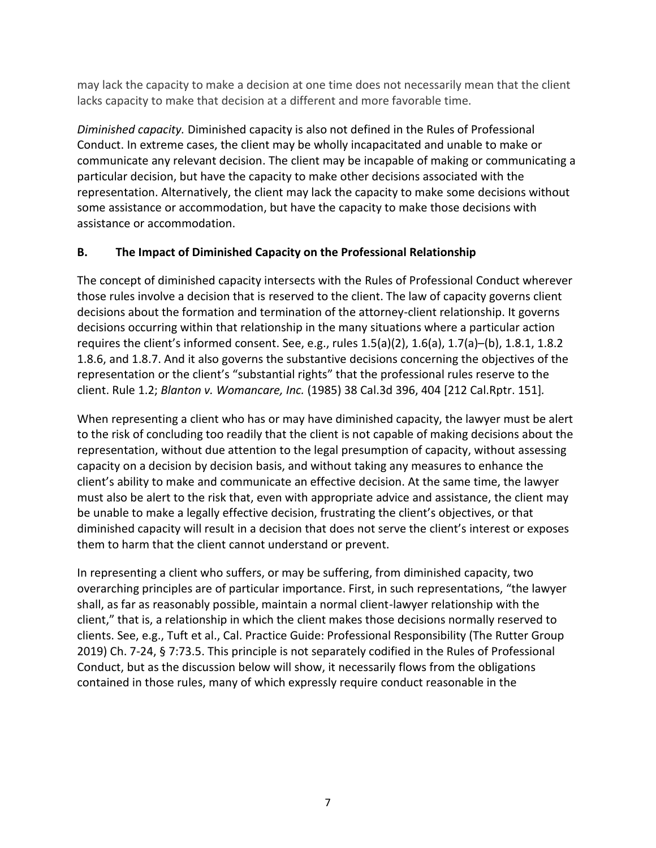may lack the capacity to make a decision at one time does not necessarily mean that the client lacks capacity to make that decision at a different and more favorable time.

*Diminished capacity.* Diminished capacity is also not defined in the Rules of Professional Conduct. In extreme cases, the client may be wholly incapacitated and unable to make or communicate any relevant decision. The client may be incapable of making or communicating a particular decision, but have the capacity to make other decisions associated with the representation. Alternatively, the client may lack the capacity to make some decisions without some assistance or accommodation, but have the capacity to make those decisions with assistance or accommodation.

## **B. The Impact of Diminished Capacity on the Professional Relationship**

The concept of diminished capacity intersects with the Rules of Professional Conduct wherever those rules involve a decision that is reserved to the client. The law of capacity governs client decisions about the formation and termination of the attorney-client relationship. It governs decisions occurring within that relationship in the many situations where a particular action requires the client's informed consent. See, e.g., rules 1.5(a)(2), 1.6(a), 1.7(a)–(b), 1.8.1, 1.8.2 1.8.6, and 1.8.7. And it also governs the substantive decisions concerning the objectives of the representation or the client's "substantial rights" that the professional rules reserve to the client. Rule 1.2; *Blanton v. Womancare, Inc.* (1985) 38 Cal.3d 396, 404 [212 Cal.Rptr. 151]*.* 

When representing a client who has or may have diminished capacity, the lawyer must be alert to the risk of concluding too readily that the client is not capable of making decisions about the representation, without due attention to the legal presumption of capacity, without assessing capacity on a decision by decision basis, and without taking any measures to enhance the client's ability to make and communicate an effective decision. At the same time, the lawyer must also be alert to the risk that, even with appropriate advice and assistance, the client may be unable to make a legally effective decision, frustrating the client's objectives, or that diminished capacity will result in a decision that does not serve the client's interest or exposes them to harm that the client cannot understand or prevent.

In representing a client who suffers, or may be suffering, from diminished capacity, two overarching principles are of particular importance. First, in such representations, "the lawyer shall, as far as reasonably possible, maintain a normal client-lawyer relationship with the client," that is, a relationship in which the client makes those decisions normally reserved to clients. See, e.g., Tuft et al., Cal. Practice Guide: Professional Responsibility (The Rutter Group 2019) Ch. 7-24, § 7:73.5. This principle is not separately codified in the Rules of Professional Conduct, but as the discussion below will show, it necessarily flows from the obligations contained in those rules, many of which expressly require conduct reasonable in the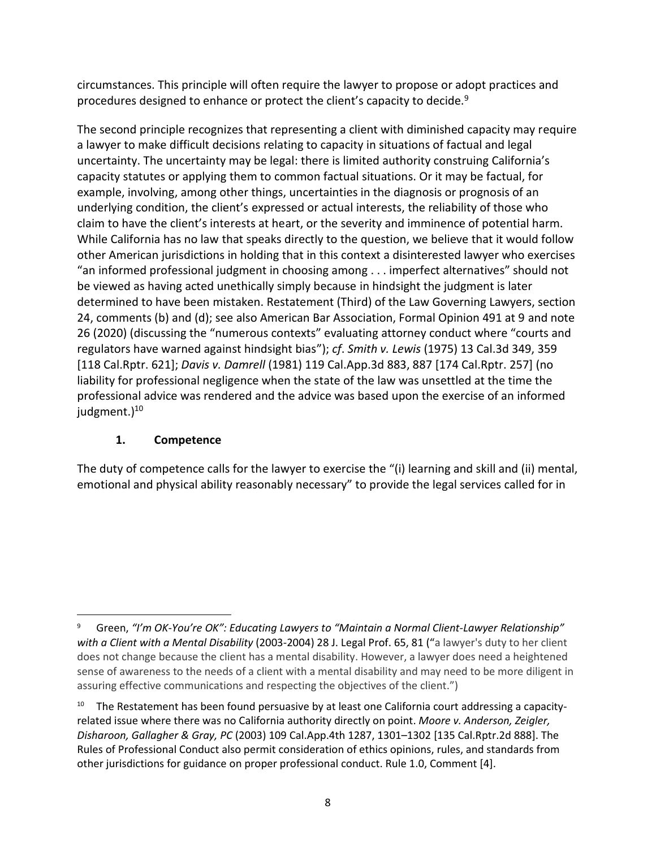circumstances. This principle will often require the lawyer to propose or adopt practices and procedures designed to enhance or protect the client's capacity to decide.<sup>[9](#page-7-0)</sup>

The second principle recognizes that representing a client with diminished capacity may require a lawyer to make difficult decisions relating to capacity in situations of factual and legal uncertainty. The uncertainty may be legal: there is limited authority construing California's capacity statutes or applying them to common factual situations. Or it may be factual, for example, involving, among other things, uncertainties in the diagnosis or prognosis of an underlying condition, the client's expressed or actual interests, the reliability of those who claim to have the client's interests at heart, or the severity and imminence of potential harm. While California has no law that speaks directly to the question, we believe that it would follow other American jurisdictions in holding that in this context a disinterested lawyer who exercises "an informed professional judgment in choosing among . . . imperfect alternatives" should not be viewed as having acted unethically simply because in hindsight the judgment is later determined to have been mistaken. Restatement (Third) of the Law Governing Lawyers, section 24, comments (b) and (d); see also American Bar Association, Formal Opinion 491 at 9 and note 26 (2020) (discussing the "numerous contexts" evaluating attorney conduct where "courts and regulators have warned against hindsight bias"); *cf*. *Smith v. Lewis* (1975) 13 Cal.3d 349, 359 [118 Cal.Rptr. 621]; *Davis v. Damrell* (1981) 119 Cal.App.3d 883, 887 [174 Cal.Rptr. 257] (no liability for professional negligence when the state of the law was unsettled at the time the professional advice was rendered and the advice was based upon the exercise of an informed judgment.)<sup>[10](#page-7-1)</sup>

# **1. Competence**

The duty of competence calls for the lawyer to exercise the "(i) learning and skill and (ii) mental, emotional and physical ability reasonably necessary" to provide the legal services called for in

<span id="page-7-0"></span><sup>9</sup> Green, *"I'm OK-You're OK": Educating Lawyers to "Maintain a Normal Client-Lawyer Relationship" with a Client with a Mental Disability* (2003-2004) 28 J. Legal Prof. 65, 81 ("a lawyer's duty to her client does not change because the client has a mental disability. However, a lawyer does need a heightened sense of awareness to the needs of a client with a mental disability and may need to be more diligent in assuring effective communications and respecting the objectives of the client.")

<span id="page-7-1"></span> $10$  The Restatement has been found persuasive by at least one California court addressing a capacityrelated issue where there was no California authority directly on point. *Moore v. Anderson, Zeigler, Disharoon, Gallagher & Gray, PC* (2003) 109 Cal.App.4th 1287, 1301–1302 [135 Cal.Rptr.2d 888]. The Rules of Professional Conduct also permit consideration of ethics opinions, rules, and standards from other jurisdictions for guidance on proper professional conduct. Rule 1.0, Comment [4].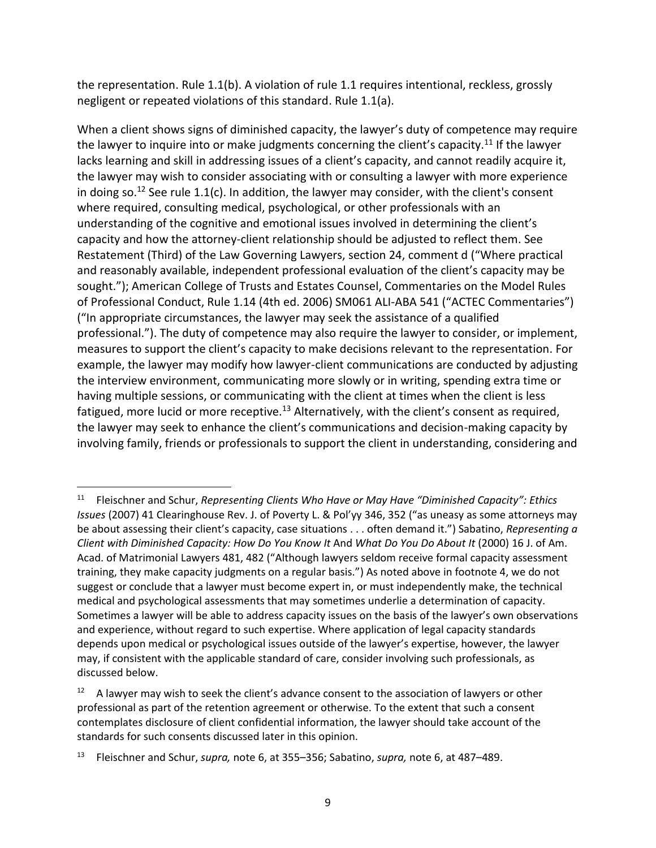the representation. Rule 1.1(b). A violation of rule 1.1 requires intentional, reckless, grossly negligent or repeated violations of this standard. Rule 1.1(a).

When a client shows signs of diminished capacity, the lawyer's duty of competence may require the lawyer to inquire into or make judgments concerning the client's capacity.<sup>[11](#page-8-0)</sup> If the lawyer lacks learning and skill in addressing issues of a client's capacity, and cannot readily acquire it, the lawyer may wish to consider associating with or consulting a lawyer with more experience in doing so.<sup>[12](#page-8-1)</sup> See rule 1.1(c). In addition, the lawyer may consider, with the client's consent where required, consulting medical, psychological, or other professionals with an understanding of the cognitive and emotional issues involved in determining the client's capacity and how the attorney-client relationship should be adjusted to reflect them. See Restatement (Third) of the Law Governing Lawyers, section 24, comment d ("Where practical and reasonably available, independent professional evaluation of the client's capacity may be sought."); American College of Trusts and Estates Counsel, Commentaries on the Model Rules of Professional Conduct, Rule 1.14 (4th ed. 2006) SM061 ALI-ABA 541 ("ACTEC Commentaries") ("In appropriate circumstances, the lawyer may seek the assistance of a qualified professional."). The duty of competence may also require the lawyer to consider, or implement, measures to support the client's capacity to make decisions relevant to the representation. For example, the lawyer may modify how lawyer-client communications are conducted by adjusting the interview environment, communicating more slowly or in writing, spending extra time or having multiple sessions, or communicating with the client at times when the client is less fatigued, more lucid or more receptive.<sup>[13](#page-8-2)</sup> Alternatively, with the client's consent as required, the lawyer may seek to enhance the client's communications and decision-making capacity by involving family, friends or professionals to support the client in understanding, considering and

<span id="page-8-0"></span><sup>11</sup> Fleischner and Schur, *Representing Clients Who Have or May Have "Diminished Capacity": Ethics Issues* (2007) 41 Clearinghouse Rev. J. of Poverty L. & Pol'yy 346, 352 ("as uneasy as some attorneys may be about assessing their client's capacity, case situations . . . often demand it.") Sabatino, *Representing a Client with Diminished Capacity: How Do You Know It* And *What Do You Do About It* (2000) 16 J. of Am. Acad. of Matrimonial Lawyers 481, 482 ("Although lawyers seldom receive formal capacity assessment training, they make capacity judgments on a regular basis.") As noted above in footnote 4, we do not suggest or conclude that a lawyer must become expert in, or must independently make, the technical medical and psychological assessments that may sometimes underlie a determination of capacity. Sometimes a lawyer will be able to address capacity issues on the basis of the lawyer's own observations and experience, without regard to such expertise. Where application of legal capacity standards depends upon medical or psychological issues outside of the lawyer's expertise, however, the lawyer may, if consistent with the applicable standard of care, consider involving such professionals, as discussed below.

<span id="page-8-1"></span> $12$  A lawyer may wish to seek the client's advance consent to the association of lawyers or other professional as part of the retention agreement or otherwise. To the extent that such a consent contemplates disclosure of client confidential information, the lawyer should take account of the standards for such consents discussed later in this opinion.

<span id="page-8-2"></span><sup>13</sup> Fleischner and Schur, *supra,* note 6, at 355–356; Sabatino, *supra,* note 6, at 487–489.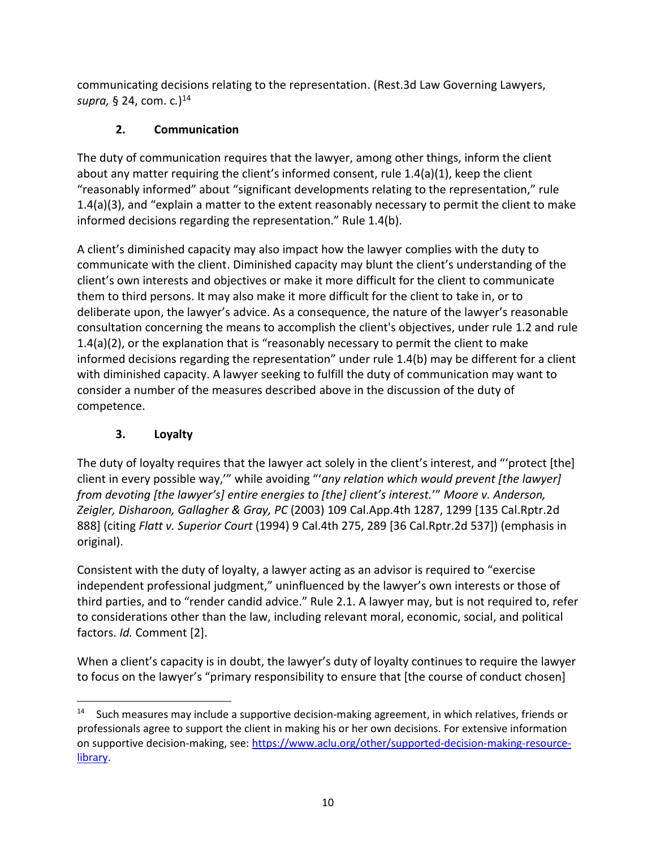communicating decisions relating to the representation. (Rest.3d Law Governing Lawyers, *supra,* § 24, com. c*.*) [14](#page-9-0)

# **2. Communication**

The duty of communication requires that the lawyer, among other things, inform the client about any matter requiring the client's informed consent, rule 1.4(a)(1), keep the client "reasonably informed" about "significant developments relating to the representation," rule 1.4(a)(3), and "explain a matter to the extent reasonably necessary to permit the client to make informed decisions regarding the representation." Rule 1.4(b).

A client's diminished capacity may also impact how the lawyer complies with the duty to communicate with the client. Diminished capacity may blunt the client's understanding of the client's own interests and objectives or make it more difficult for the client to communicate them to third persons. It may also make it more difficult for the client to take in, or to deliberate upon, the lawyer's advice. As a consequence, the nature of the lawyer's reasonable consultation concerning the means to accomplish the client's objectives, under rule 1.2 and rule 1.4(a)(2), or the explanation that is "reasonably necessary to permit the client to make informed decisions regarding the representation" under rule 1.4(b) may be different for a client with diminished capacity. A lawyer seeking to fulfill the duty of communication may want to consider a number of the measures described above in the discussion of the duty of competence.

# **3. Loyalty**

The duty of loyalty requires that the lawyer act solely in the client's interest, and "'protect [the] client in every possible way,'" while avoiding "'*any relation which would prevent [the lawyer] from devoting [the lawyer's] entire energies to [the] client's interest.*'" *Moore v. Anderson, Zeigler, Disharoon, Gallagher & Gray, PC* (2003) 109 Cal.App.4th 1287, 1299 [135 Cal.Rptr.2d 888] (citing *Flatt v. Superior Court* (1994) 9 Cal.4th 275, 289 [36 Cal.Rptr.2d 537]) (emphasis in original).

Consistent with the duty of loyalty, a lawyer acting as an advisor is required to "exercise independent professional judgment," uninfluenced by the lawyer's own interests or those of third parties, and to "render candid advice." Rule 2.1. A lawyer may, but is not required to, refer to considerations other than the law, including relevant moral, economic, social, and political factors. *Id.* Comment [2].

When a client's capacity is in doubt, the lawyer's duty of loyalty continues to require the lawyer to focus on the lawyer's "primary responsibility to ensure that [the course of conduct chosen]

<span id="page-9-0"></span><sup>&</sup>lt;sup>14</sup> Such measures may include a supportive decision-making agreement, in which relatives, friends or professionals agree to support the client in making his or her own decisions. For extensive information on supportive decision-making, see: [https://www.aclu.org/other/supported-decision-making-resource](https://www.aclu.org/other/supported-decision-making-resource-library)[library.](https://www.aclu.org/other/supported-decision-making-resource-library)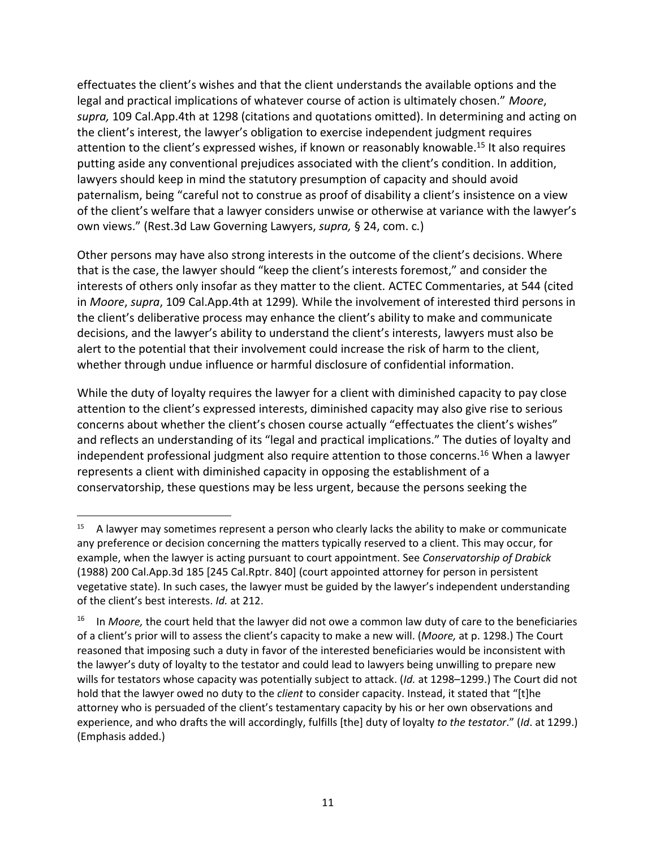effectuates the client's wishes and that the client understands the available options and the legal and practical implications of whatever course of action is ultimately chosen." *Moore*, *supra,* 109 Cal.App.4th at 1298 (citations and quotations omitted). In determining and acting on the client's interest, the lawyer's obligation to exercise independent judgment requires attention to the client's expressed wishes, if known or reasonably knowable.<sup>[15](#page-10-0)</sup> It also requires putting aside any conventional prejudices associated with the client's condition. In addition, lawyers should keep in mind the statutory presumption of capacity and should avoid paternalism, being "careful not to construe as proof of disability a client's insistence on a view of the client's welfare that a lawyer considers unwise or otherwise at variance with the lawyer's own views." (Rest.3d Law Governing Lawyers, *supra,* § 24, com. c*.*)

Other persons may have also strong interests in the outcome of the client's decisions. Where that is the case, the lawyer should "keep the client's interests foremost," and consider the interests of others only insofar as they matter to the client. ACTEC Commentaries, at 544 (cited in *Moore*, *supra*, 109 Cal.App.4th at 1299)*.* While the involvement of interested third persons in the client's deliberative process may enhance the client's ability to make and communicate decisions, and the lawyer's ability to understand the client's interests, lawyers must also be alert to the potential that their involvement could increase the risk of harm to the client, whether through undue influence or harmful disclosure of confidential information.

While the duty of loyalty requires the lawyer for a client with diminished capacity to pay close attention to the client's expressed interests, diminished capacity may also give rise to serious concerns about whether the client's chosen course actually "effectuates the client's wishes" and reflects an understanding of its "legal and practical implications." The duties of loyalty and independent professional judgment also require attention to those concerns.<sup>[16](#page-10-1)</sup> When a lawyer represents a client with diminished capacity in opposing the establishment of a conservatorship, these questions may be less urgent, because the persons seeking the

<span id="page-10-0"></span><sup>&</sup>lt;sup>15</sup> A lawyer may sometimes represent a person who clearly lacks the ability to make or communicate any preference or decision concerning the matters typically reserved to a client. This may occur, for example, when the lawyer is acting pursuant to court appointment. See *Conservatorship of Drabick* (1988) 200 Cal.App.3d 185 [245 Cal.Rptr. 840] (court appointed attorney for person in persistent vegetative state). In such cases, the lawyer must be guided by the lawyer's independent understanding of the client's best interests. *Id.* at 212.

<span id="page-10-1"></span><sup>&</sup>lt;sup>16</sup> In *Moore,* the court held that the lawyer did not owe a common law duty of care to the beneficiaries of a client's prior will to assess the client's capacity to make a new will. (*Moore,* at p. 1298.) The Court reasoned that imposing such a duty in favor of the interested beneficiaries would be inconsistent with the lawyer's duty of loyalty to the testator and could lead to lawyers being unwilling to prepare new wills for testators whose capacity was potentially subject to attack. (*Id.* at 1298–1299.) The Court did not hold that the lawyer owed no duty to the *client* to consider capacity. Instead, it stated that "[t]he attorney who is persuaded of the client's testamentary capacity by his or her own observations and experience, and who drafts the will accordingly, fulfills [the] duty of loyalty *to the testator*." (*Id*. at 1299.) (Emphasis added.)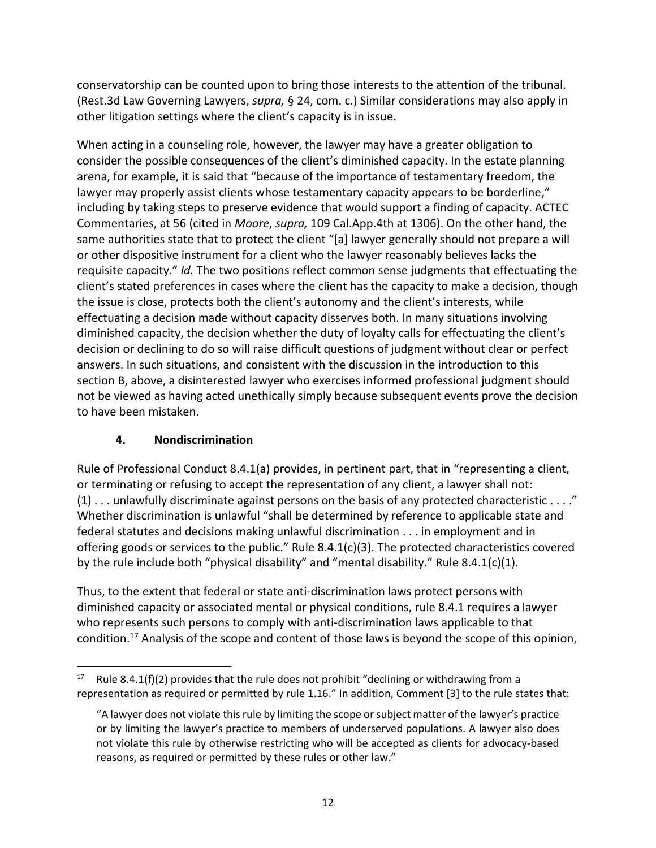conservatorship can be counted upon to bring those interests to the attention of the tribunal. (Rest.3d Law Governing Lawyers, *supra,* § 24, com. c*.*) Similar considerations may also apply in other litigation settings where the client's capacity is in issue.

When acting in a counseling role, however, the lawyer may have a greater obligation to consider the possible consequences of the client's diminished capacity. In the estate planning arena, for example, it is said that "because of the importance of testamentary freedom, the lawyer may properly assist clients whose testamentary capacity appears to be borderline," including by taking steps to preserve evidence that would support a finding of capacity. ACTEC Commentaries, at 56 (cited in *Moore*, *supra,* 109 Cal.App.4th at 1306). On the other hand, the same authorities state that to protect the client "[a] lawyer generally should not prepare a will or other dispositive instrument for a client who the lawyer reasonably believes lacks the requisite capacity." *Id.* The two positions reflect common sense judgments that effectuating the client's stated preferences in cases where the client has the capacity to make a decision, though the issue is close, protects both the client's autonomy and the client's interests, while effectuating a decision made without capacity disserves both. In many situations involving diminished capacity, the decision whether the duty of loyalty calls for effectuating the client's decision or declining to do so will raise difficult questions of judgment without clear or perfect answers. In such situations, and consistent with the discussion in the introduction to this section B, above, a disinterested lawyer who exercises informed professional judgment should not be viewed as having acted unethically simply because subsequent events prove the decision to have been mistaken.

# **4. Nondiscrimination**

Rule of Professional Conduct 8.4.1(a) provides, in pertinent part, that in "representing a client, or terminating or refusing to accept the representation of any client, a lawyer shall not: (1) . . . unlawfully discriminate against persons on the basis of any protected characteristic . . . ." Whether discrimination is unlawful "shall be determined by reference to applicable state and federal statutes and decisions making unlawful discrimination . . . in employment and in offering goods or services to the public." Rule 8.4.1(c)(3). The protected characteristics covered by the rule include both "physical disability" and "mental disability." Rule 8.4.1(c)(1).

Thus, to the extent that federal or state anti-discrimination laws protect persons with diminished capacity or associated mental or physical conditions, rule 8.4.1 requires a lawyer who represents such persons to comply with anti-discrimination laws applicable to that condition.[17](#page-11-0) Analysis of the scope and content of those laws is beyond the scope of this opinion,

<span id="page-11-0"></span><sup>&</sup>lt;sup>17</sup> Rule 8.4.1(f)(2) provides that the rule does not prohibit "declining or withdrawing from a representation as required or permitted by rule 1.16." In addition, Comment [3] to the rule states that:

<sup>&</sup>quot;A lawyer does not violate this rule by limiting the scope or subject matter of the lawyer's practice or by limiting the lawyer's practice to members of underserved populations. A lawyer also does not violate this rule by otherwise restricting who will be accepted as clients for advocacy-based reasons, as required or permitted by these rules or other law."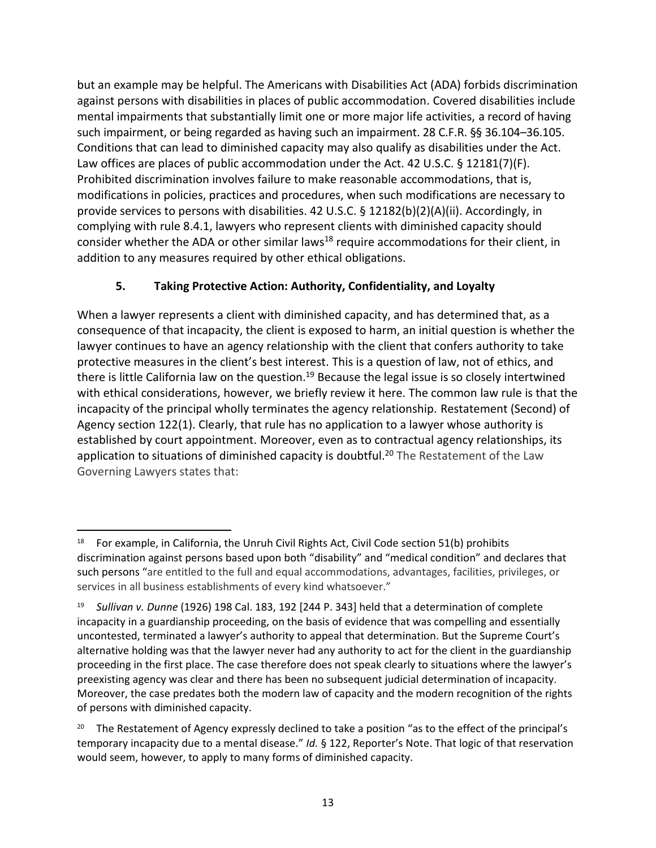but an example may be helpful. The Americans with Disabilities Act (ADA) forbids discrimination against persons with disabilities in places of public accommodation. Covered disabilities include mental impairments that substantially limit one or more major life activities, a record of having such impairment, or being regarded as having such an impairment. 28 C.F.R. §§ 36.104–36.105. Conditions that can lead to diminished capacity may also qualify as disabilities under the Act. Law offices are places of public accommodation under the Act. 42 U.S.C. § 12181(7)(F). Prohibited discrimination involves failure to make reasonable accommodations, that is, modifications in policies, practices and procedures, when such modifications are necessary to provide services to persons with disabilities. 42 U.S.C. § 12182(b)(2)(A)(ii). Accordingly, in complying with rule 8.4.1, lawyers who represent clients with diminished capacity should consider whether the ADA or other similar laws<sup>[18](#page-12-0)</sup> require accommodations for their client, in addition to any measures required by other ethical obligations.

# **5. Taking Protective Action: Authority, Confidentiality, and Loyalty**

When a lawyer represents a client with diminished capacity, and has determined that, as a consequence of that incapacity, the client is exposed to harm, an initial question is whether the lawyer continues to have an agency relationship with the client that confers authority to take protective measures in the client's best interest. This is a question of law, not of ethics, and there is little California law on the question.<sup>[19](#page-12-1)</sup> Because the legal issue is so closely intertwined with ethical considerations, however, we briefly review it here. The common law rule is that the incapacity of the principal wholly terminates the agency relationship. Restatement (Second) of Agency section 122(1). Clearly, that rule has no application to a lawyer whose authority is established by court appointment. Moreover, even as to contractual agency relationships, its application to situations of diminished capacity is doubtful.<sup>[20](#page-12-2)</sup> The Restatement of the Law Governing Lawyers states that:

<span id="page-12-0"></span><sup>&</sup>lt;sup>18</sup> For example, in California, the Unruh Civil Rights Act, Civil Code section 51(b) prohibits discrimination against persons based upon both "disability" and "medical condition" and declares that such persons "are entitled to the full and equal accommodations, advantages, facilities, privileges, or services in all business establishments of every kind whatsoever."

<span id="page-12-1"></span><sup>19</sup> *Sullivan v. Dunne* (1926) 198 Cal. 183, 192 [244 P. 343] held that a determination of complete incapacity in a guardianship proceeding, on the basis of evidence that was compelling and essentially uncontested, terminated a lawyer's authority to appeal that determination. But the Supreme Court's alternative holding was that the lawyer never had any authority to act for the client in the guardianship proceeding in the first place. The case therefore does not speak clearly to situations where the lawyer's preexisting agency was clear and there has been no subsequent judicial determination of incapacity. Moreover, the case predates both the modern law of capacity and the modern recognition of the rights of persons with diminished capacity.

<span id="page-12-2"></span><sup>&</sup>lt;sup>20</sup> The Restatement of Agency expressly declined to take a position "as to the effect of the principal's temporary incapacity due to a mental disease." *Id.* § 122, Reporter's Note. That logic of that reservation would seem, however, to apply to many forms of diminished capacity.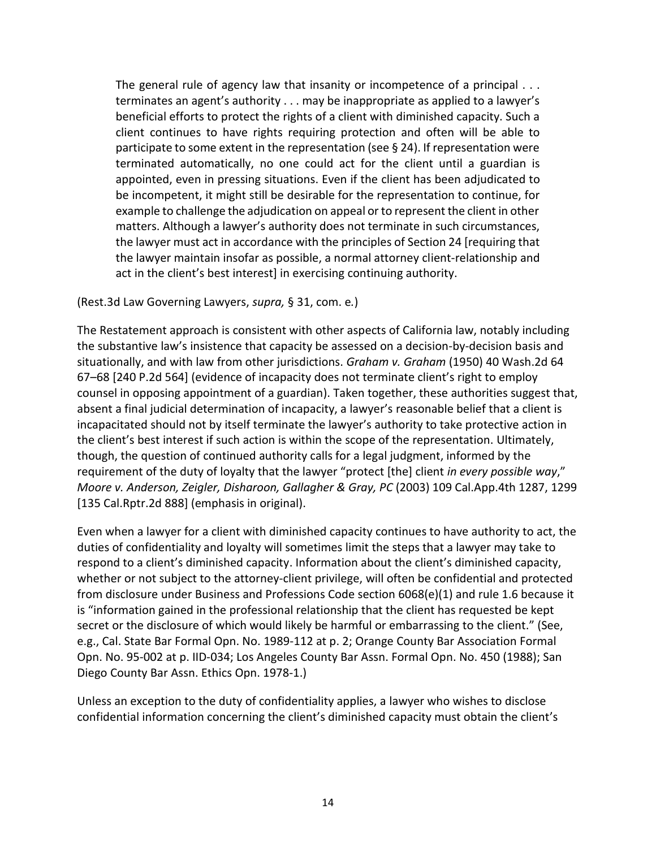The general rule of agency law that insanity or incompetence of a principal . . . terminates an agent's authority . . . may be inappropriate as applied to a lawyer's beneficial efforts to protect the rights of a client with diminished capacity. Such a client continues to have rights requiring protection and often will be able to participate to some extent in the representation (see § 24). If representation were terminated automatically, no one could act for the client until a guardian is appointed, even in pressing situations. Even if the client has been adjudicated to be incompetent, it might still be desirable for the representation to continue, for example to challenge the adjudication on appeal or to represent the client in other matters. Although a lawyer's authority does not terminate in such circumstances, the lawyer must act in accordance with the principles of Section 24 [requiring that the lawyer maintain insofar as possible, a normal attorney client-relationship and act in the client's best interest] in exercising continuing authority.

(Rest.3d Law Governing Lawyers, *supra,* § 31, com. e*.*)

The Restatement approach is consistent with other aspects of California law, notably including the substantive law's insistence that capacity be assessed on a decision-by-decision basis and situationally, and with law from other jurisdictions. *Graham v. Graham* (1950) 40 Wash.2d 64 67–68 [240 P.2d 564] (evidence of incapacity does not terminate client's right to employ counsel in opposing appointment of a guardian). Taken together, these authorities suggest that, absent a final judicial determination of incapacity, a lawyer's reasonable belief that a client is incapacitated should not by itself terminate the lawyer's authority to take protective action in the client's best interest if such action is within the scope of the representation. Ultimately, though, the question of continued authority calls for a legal judgment, informed by the requirement of the duty of loyalty that the lawyer "protect [the] client *in every possible way*," *Moore v. Anderson, Zeigler, Disharoon, Gallagher & Gray, PC* (2003) 109 Cal.App.4th 1287, 1299 [135 Cal.Rptr.2d 888] (emphasis in original).

Even when a lawyer for a client with diminished capacity continues to have authority to act, the duties of confidentiality and loyalty will sometimes limit the steps that a lawyer may take to respond to a client's diminished capacity. Information about the client's diminished capacity, whether or not subject to the attorney-client privilege, will often be confidential and protected from disclosure under Business and Professions Code section 6068(e)(1) and rule 1.6 because it is "information gained in the professional relationship that the client has requested be kept secret or the disclosure of which would likely be harmful or embarrassing to the client." (See, e.g., Cal. State Bar Formal Opn. No. 1989-112 at p. 2; Orange County Bar Association Formal Opn. No. 95-002 at p. IID-034; Los Angeles County Bar Assn. Formal Opn. No. 450 (1988); San Diego County Bar Assn. Ethics Opn. 1978-1.)

Unless an exception to the duty of confidentiality applies, a lawyer who wishes to disclose confidential information concerning the client's diminished capacity must obtain the client's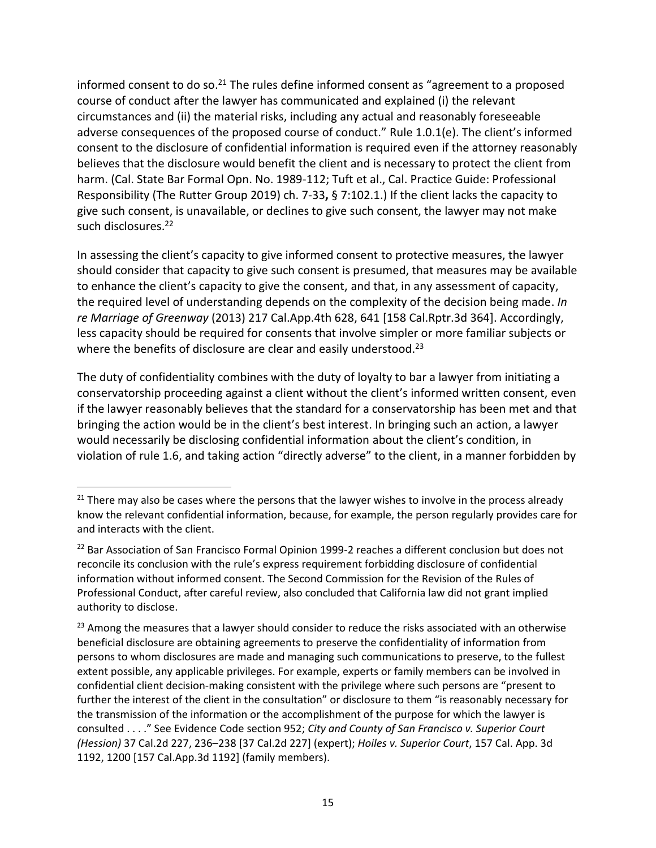informed consent to do so.<sup>[21](#page-14-0)</sup> The rules define informed consent as "agreement to a proposed course of conduct after the lawyer has communicated and explained (i) the relevant circumstances and (ii) the material risks, including any actual and reasonably foreseeable adverse consequences of the proposed course of conduct." Rule 1.0.1(e). The client's informed consent to the disclosure of confidential information is required even if the attorney reasonably believes that the disclosure would benefit the client and is necessary to protect the client from harm. (Cal. State Bar Formal Opn. No. 1989-112; Tuft et al., Cal. Practice Guide: Professional Responsibility (The Rutter Group 2019) ch. 7-33**,** § 7:102.1.) If the client lacks the capacity to give such consent, is unavailable, or declines to give such consent, the lawyer may not make such disclosures.[22](#page-14-1)

In assessing the client's capacity to give informed consent to protective measures, the lawyer should consider that capacity to give such consent is presumed, that measures may be available to enhance the client's capacity to give the consent, and that, in any assessment of capacity, the required level of understanding depends on the complexity of the decision being made. *In re Marriage of Greenway* (2013) 217 Cal.App.4th 628, 641 [158 Cal.Rptr.3d 364]. Accordingly, less capacity should be required for consents that involve simpler or more familiar subjects or where the benefits of disclosure are clear and easily understood.<sup>[23](#page-14-2)</sup>

The duty of confidentiality combines with the duty of loyalty to bar a lawyer from initiating a conservatorship proceeding against a client without the client's informed written consent, even if the lawyer reasonably believes that the standard for a conservatorship has been met and that bringing the action would be in the client's best interest. In bringing such an action, a lawyer would necessarily be disclosing confidential information about the client's condition, in violation of rule 1.6, and taking action "directly adverse" to the client, in a manner forbidden by

<span id="page-14-0"></span><sup>&</sup>lt;sup>21</sup> There may also be cases where the persons that the lawyer wishes to involve in the process already know the relevant confidential information, because, for example, the person regularly provides care for and interacts with the client.

<span id="page-14-1"></span><sup>&</sup>lt;sup>22</sup> Bar Association of San Francisco Formal Opinion 1999-2 reaches a different conclusion but does not reconcile its conclusion with the rule's express requirement forbidding disclosure of confidential information without informed consent. The Second Commission for the Revision of the Rules of Professional Conduct, after careful review, also concluded that California law did not grant implied authority to disclose.

<span id="page-14-2"></span> $23$  Among the measures that a lawyer should consider to reduce the risks associated with an otherwise beneficial disclosure are obtaining agreements to preserve the confidentiality of information from persons to whom disclosures are made and managing such communications to preserve, to the fullest extent possible, any applicable privileges. For example, experts or family members can be involved in confidential client decision-making consistent with the privilege where such persons are "present to further the interest of the client in the consultation" or disclosure to them "is reasonably necessary for the transmission of the information or the accomplishment of the purpose for which the lawyer is consulted . . . ." See Evidence Code section 952; *City and County of San Francisco v. Superior Court (Hession)* 37 Cal.2d 227, 236–238 [37 Cal.2d 227] (expert); *Hoiles v. Superior Court*, 157 Cal. App. 3d 1192, 1200 [157 Cal.App.3d 1192] (family members).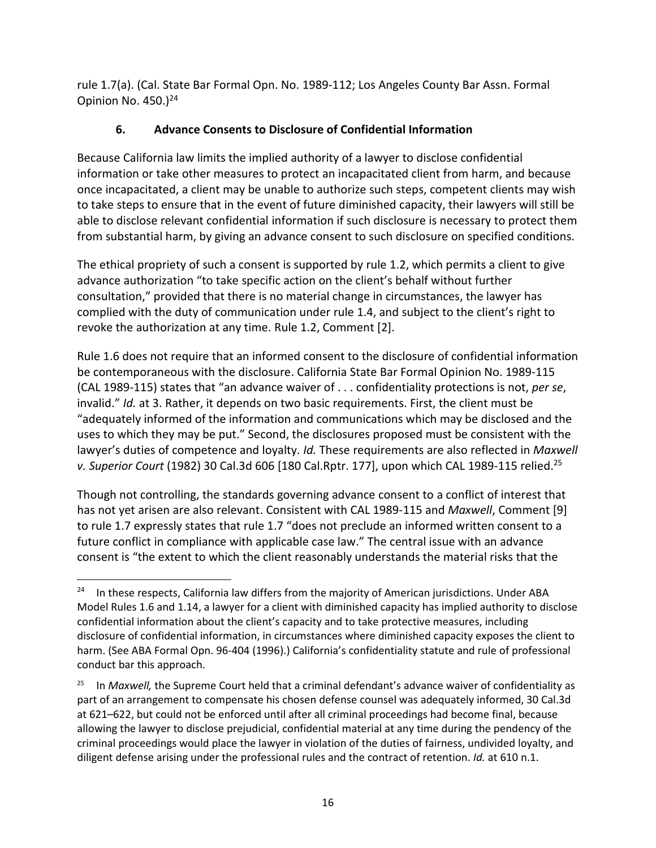rule 1.7(a). (Cal. State Bar Formal Opn. No. 1989-112; Los Angeles County Bar Assn. Formal Opinion No. 450.) [24](#page-15-0)

# **6. Advance Consents to Disclosure of Confidential Information**

Because California law limits the implied authority of a lawyer to disclose confidential information or take other measures to protect an incapacitated client from harm, and because once incapacitated, a client may be unable to authorize such steps, competent clients may wish to take steps to ensure that in the event of future diminished capacity, their lawyers will still be able to disclose relevant confidential information if such disclosure is necessary to protect them from substantial harm, by giving an advance consent to such disclosure on specified conditions.

The ethical propriety of such a consent is supported by rule 1.2, which permits a client to give advance authorization "to take specific action on the client's behalf without further consultation," provided that there is no material change in circumstances, the lawyer has complied with the duty of communication under rule 1.4, and subject to the client's right to revoke the authorization at any time. Rule 1.2, Comment [2].

Rule 1.6 does not require that an informed consent to the disclosure of confidential information be contemporaneous with the disclosure. California State Bar Formal Opinion No. 1989-115 (CAL 1989-115) states that "an advance waiver of . . . confidentiality protections is not, *per se*, invalid." *Id.* at 3. Rather, it depends on two basic requirements. First, the client must be "adequately informed of the information and communications which may be disclosed and the uses to which they may be put." Second, the disclosures proposed must be consistent with the lawyer's duties of competence and loyalty. *Id.* These requirements are also reflected in *Maxwell v. Superior Court* (1982) 30 Cal.3d 606 [180 Cal.Rptr. 177], upon which CAL 1989-115 relied.[25](#page-15-1)

Though not controlling, the standards governing advance consent to a conflict of interest that has not yet arisen are also relevant. Consistent with CAL 1989-115 and *Maxwell*, Comment [9] to rule 1.7 expressly states that rule 1.7 "does not preclude an informed written consent to a future conflict in compliance with applicable case law." The central issue with an advance consent is "the extent to which the client reasonably understands the material risks that the

<span id="page-15-0"></span><sup>&</sup>lt;sup>24</sup> In these respects, California law differs from the majority of American jurisdictions. Under ABA Model Rules 1.6 and 1.14, a lawyer for a client with diminished capacity has implied authority to disclose confidential information about the client's capacity and to take protective measures, including disclosure of confidential information, in circumstances where diminished capacity exposes the client to harm. (See ABA Formal Opn. 96-404 (1996).) California's confidentiality statute and rule of professional conduct bar this approach.

<span id="page-15-1"></span><sup>25</sup> In *Maxwell,* the Supreme Court held that a criminal defendant's advance waiver of confidentiality as part of an arrangement to compensate his chosen defense counsel was adequately informed, 30 Cal.3d at 621–622, but could not be enforced until after all criminal proceedings had become final, because allowing the lawyer to disclose prejudicial, confidential material at any time during the pendency of the criminal proceedings would place the lawyer in violation of the duties of fairness, undivided loyalty, and diligent defense arising under the professional rules and the contract of retention. *Id.* at 610 n.1.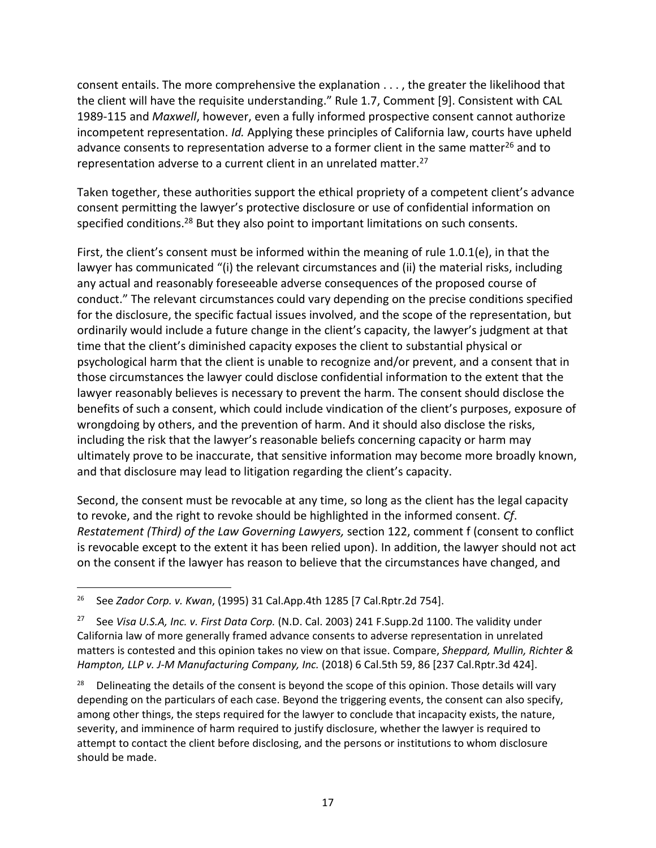consent entails. The more comprehensive the explanation . . . , the greater the likelihood that the client will have the requisite understanding." Rule 1.7, Comment [9]. Consistent with CAL 1989-115 and *Maxwell*, however, even a fully informed prospective consent cannot authorize incompetent representation. *Id.* Applying these principles of California law, courts have upheld advance consents to representation adverse to a former client in the same matter<sup>[26](#page-16-0)</sup> and to representation adverse to a current client in an unrelated matter.<sup>[27](#page-16-1)</sup>

Taken together, these authorities support the ethical propriety of a competent client's advance consent permitting the lawyer's protective disclosure or use of confidential information on specified conditions.<sup>[28](#page-16-2)</sup> But they also point to important limitations on such consents.

First, the client's consent must be informed within the meaning of rule 1.0.1(e), in that the lawyer has communicated "(i) the relevant circumstances and (ii) the material risks, including any actual and reasonably foreseeable adverse consequences of the proposed course of conduct." The relevant circumstances could vary depending on the precise conditions specified for the disclosure, the specific factual issues involved, and the scope of the representation, but ordinarily would include a future change in the client's capacity, the lawyer's judgment at that time that the client's diminished capacity exposes the client to substantial physical or psychological harm that the client is unable to recognize and/or prevent, and a consent that in those circumstances the lawyer could disclose confidential information to the extent that the lawyer reasonably believes is necessary to prevent the harm. The consent should disclose the benefits of such a consent, which could include vindication of the client's purposes, exposure of wrongdoing by others, and the prevention of harm. And it should also disclose the risks, including the risk that the lawyer's reasonable beliefs concerning capacity or harm may ultimately prove to be inaccurate, that sensitive information may become more broadly known, and that disclosure may lead to litigation regarding the client's capacity.

Second, the consent must be revocable at any time, so long as the client has the legal capacity to revoke, and the right to revoke should be highlighted in the informed consent. *Cf*. *Restatement (Third) of the Law Governing Lawyers,* section 122, comment f (consent to conflict is revocable except to the extent it has been relied upon). In addition, the lawyer should not act on the consent if the lawyer has reason to believe that the circumstances have changed, and

<span id="page-16-2"></span><sup>28</sup> Delineating the details of the consent is beyond the scope of this opinion. Those details will vary depending on the particulars of each case. Beyond the triggering events, the consent can also specify, among other things, the steps required for the lawyer to conclude that incapacity exists, the nature, severity, and imminence of harm required to justify disclosure, whether the lawyer is required to attempt to contact the client before disclosing, and the persons or institutions to whom disclosure should be made.

<span id="page-16-0"></span><sup>26</sup> See *Zador Corp. v. Kwan*, (1995) 31 Cal.App.4th 1285 [7 Cal.Rptr.2d 754].

<span id="page-16-1"></span><sup>27</sup> See *Visa U.S.A, Inc. v. First Data Corp.* (N.D. Cal. 2003) 241 F.Supp.2d 1100. The validity under California law of more generally framed advance consents to adverse representation in unrelated matters is contested and this opinion takes no view on that issue. Compare, *Sheppard, Mullin, Richter & Hampton, LLP v. J-M Manufacturing Company, Inc.* (2018) 6 Cal.5th 59, 86 [237 Cal.Rptr.3d 424].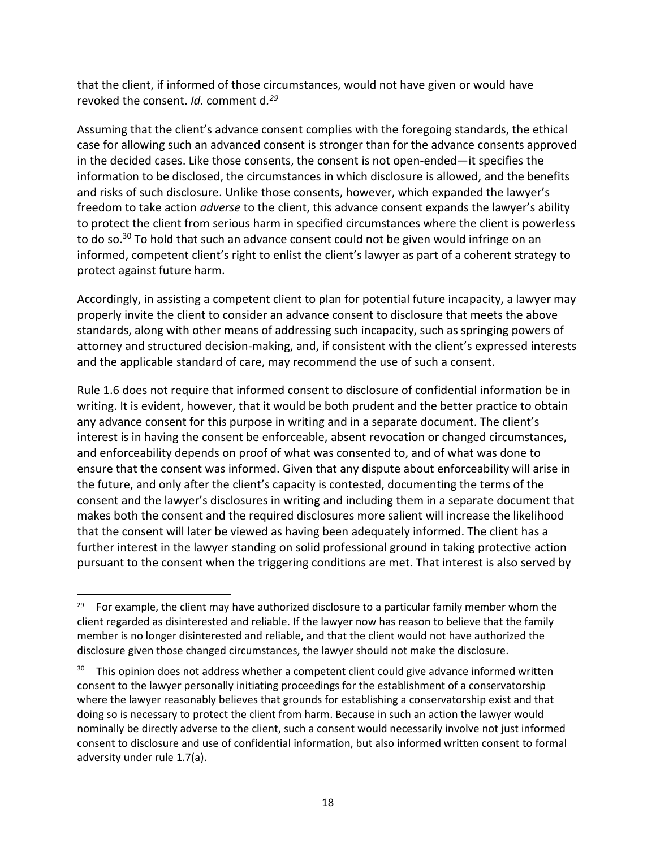that the client, if informed of those circumstances, would not have given or would have revoked the consent. *Id.* comment d*. [29](#page-17-0)*

Assuming that the client's advance consent complies with the foregoing standards, the ethical case for allowing such an advanced consent is stronger than for the advance consents approved in the decided cases. Like those consents, the consent is not open-ended—it specifies the information to be disclosed, the circumstances in which disclosure is allowed, and the benefits and risks of such disclosure. Unlike those consents, however, which expanded the lawyer's freedom to take action *adverse* to the client, this advance consent expands the lawyer's ability to protect the client from serious harm in specified circumstances where the client is powerless to do so.<sup>[30](#page-17-1)</sup> To hold that such an advance consent could not be given would infringe on an informed, competent client's right to enlist the client's lawyer as part of a coherent strategy to protect against future harm.

Accordingly, in assisting a competent client to plan for potential future incapacity, a lawyer may properly invite the client to consider an advance consent to disclosure that meets the above standards, along with other means of addressing such incapacity, such as springing powers of attorney and structured decision-making, and, if consistent with the client's expressed interests and the applicable standard of care, may recommend the use of such a consent.

Rule 1.6 does not require that informed consent to disclosure of confidential information be in writing. It is evident, however, that it would be both prudent and the better practice to obtain any advance consent for this purpose in writing and in a separate document. The client's interest is in having the consent be enforceable, absent revocation or changed circumstances, and enforceability depends on proof of what was consented to, and of what was done to ensure that the consent was informed. Given that any dispute about enforceability will arise in the future, and only after the client's capacity is contested, documenting the terms of the consent and the lawyer's disclosures in writing and including them in a separate document that makes both the consent and the required disclosures more salient will increase the likelihood that the consent will later be viewed as having been adequately informed. The client has a further interest in the lawyer standing on solid professional ground in taking protective action pursuant to the consent when the triggering conditions are met. That interest is also served by

<span id="page-17-0"></span><sup>&</sup>lt;sup>29</sup> For example, the client may have authorized disclosure to a particular family member whom the client regarded as disinterested and reliable. If the lawyer now has reason to believe that the family member is no longer disinterested and reliable, and that the client would not have authorized the disclosure given those changed circumstances, the lawyer should not make the disclosure.

<span id="page-17-1"></span>This opinion does not address whether a competent client could give advance informed written consent to the lawyer personally initiating proceedings for the establishment of a conservatorship where the lawyer reasonably believes that grounds for establishing a conservatorship exist and that doing so is necessary to protect the client from harm. Because in such an action the lawyer would nominally be directly adverse to the client, such a consent would necessarily involve not just informed consent to disclosure and use of confidential information, but also informed written consent to formal adversity under rule 1.7(a).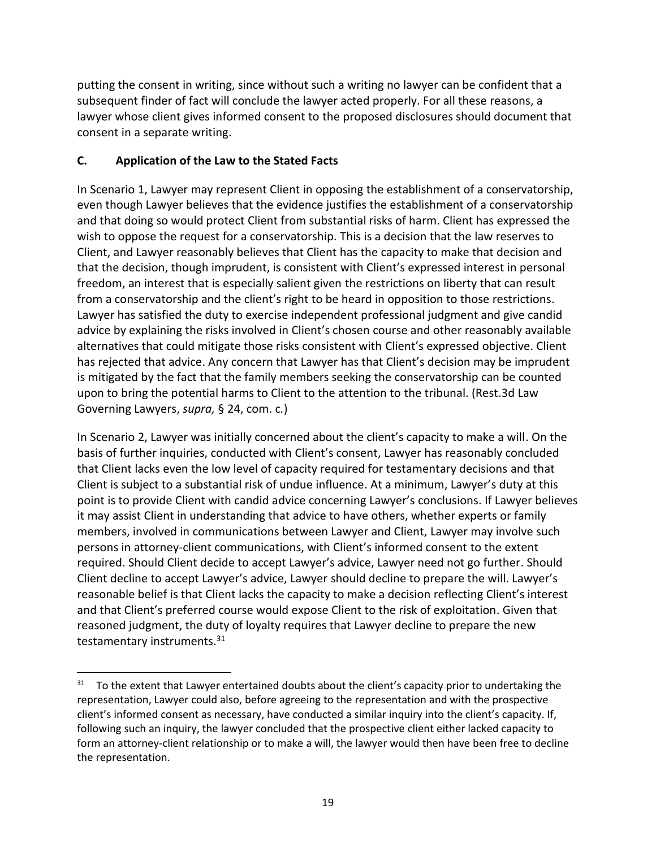putting the consent in writing, since without such a writing no lawyer can be confident that a subsequent finder of fact will conclude the lawyer acted properly. For all these reasons, a lawyer whose client gives informed consent to the proposed disclosures should document that consent in a separate writing.

### **C. Application of the Law to the Stated Facts**

In Scenario 1, Lawyer may represent Client in opposing the establishment of a conservatorship, even though Lawyer believes that the evidence justifies the establishment of a conservatorship and that doing so would protect Client from substantial risks of harm. Client has expressed the wish to oppose the request for a conservatorship. This is a decision that the law reserves to Client, and Lawyer reasonably believes that Client has the capacity to make that decision and that the decision, though imprudent, is consistent with Client's expressed interest in personal freedom, an interest that is especially salient given the restrictions on liberty that can result from a conservatorship and the client's right to be heard in opposition to those restrictions. Lawyer has satisfied the duty to exercise independent professional judgment and give candid advice by explaining the risks involved in Client's chosen course and other reasonably available alternatives that could mitigate those risks consistent with Client's expressed objective. Client has rejected that advice. Any concern that Lawyer has that Client's decision may be imprudent is mitigated by the fact that the family members seeking the conservatorship can be counted upon to bring the potential harms to Client to the attention to the tribunal. (Rest.3d Law Governing Lawyers, *supra,* § 24, com. c*.*)

In Scenario 2, Lawyer was initially concerned about the client's capacity to make a will. On the basis of further inquiries, conducted with Client's consent, Lawyer has reasonably concluded that Client lacks even the low level of capacity required for testamentary decisions and that Client is subject to a substantial risk of undue influence. At a minimum, Lawyer's duty at this point is to provide Client with candid advice concerning Lawyer's conclusions. If Lawyer believes it may assist Client in understanding that advice to have others, whether experts or family members, involved in communications between Lawyer and Client, Lawyer may involve such persons in attorney-client communications, with Client's informed consent to the extent required. Should Client decide to accept Lawyer's advice, Lawyer need not go further. Should Client decline to accept Lawyer's advice, Lawyer should decline to prepare the will. Lawyer's reasonable belief is that Client lacks the capacity to make a decision reflecting Client's interest and that Client's preferred course would expose Client to the risk of exploitation. Given that reasoned judgment, the duty of loyalty requires that Lawyer decline to prepare the new testamentary instruments.<sup>[31](#page-18-0)</sup>

<span id="page-18-0"></span><sup>&</sup>lt;sup>31</sup> To the extent that Lawyer entertained doubts about the client's capacity prior to undertaking the representation, Lawyer could also, before agreeing to the representation and with the prospective client's informed consent as necessary, have conducted a similar inquiry into the client's capacity. If, following such an inquiry, the lawyer concluded that the prospective client either lacked capacity to form an attorney-client relationship or to make a will, the lawyer would then have been free to decline the representation.